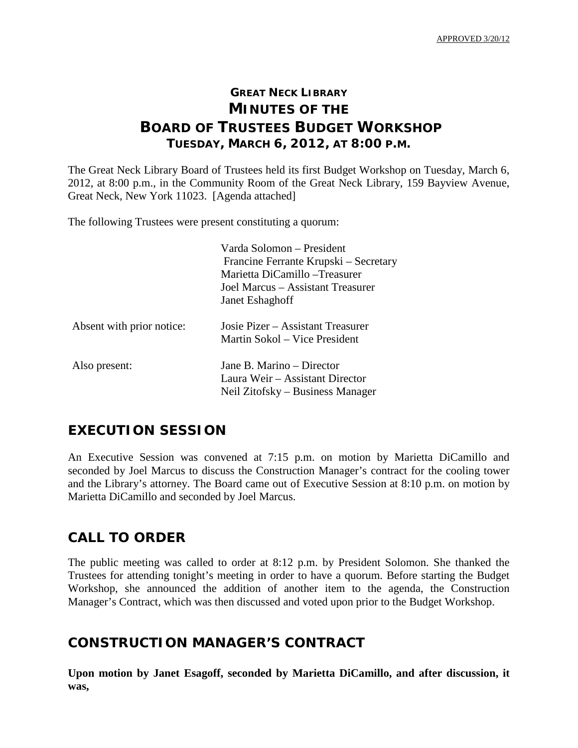# **GREAT NECK LIBRARY MINUTES OF THE BOARD OF TRUSTEES BUDGET WORKSHOP TUESDAY, MARCH 6, 2012, AT 8:00 P.M.**

The Great Neck Library Board of Trustees held its first Budget Workshop on Tuesday, March 6, 2012, at 8:00 p.m., in the Community Room of the Great Neck Library, 159 Bayview Avenue, Great Neck, New York 11023. [Agenda attached]

The following Trustees were present constituting a quorum:

|                           | Varda Solomon – President             |
|---------------------------|---------------------------------------|
|                           | Francine Ferrante Krupski – Secretary |
|                           | Marietta DiCamillo – Treasurer        |
|                           | Joel Marcus – Assistant Treasurer     |
|                           | Janet Eshaghoff                       |
| Absent with prior notice: | Josie Pizer – Assistant Treasurer     |
|                           | Martin Sokol – Vice President         |
| Also present:             | Jane B. Marino – Director             |
|                           | Laura Weir – Assistant Director       |
|                           | Neil Zitofsky – Business Manager      |

### **EXECUTION SESSION**

An Executive Session was convened at 7:15 p.m. on motion by Marietta DiCamillo and seconded by Joel Marcus to discuss the Construction Manager's contract for the cooling tower and the Library's attorney. The Board came out of Executive Session at 8:10 p.m. on motion by Marietta DiCamillo and seconded by Joel Marcus.

### **CALL TO ORDER**

The public meeting was called to order at 8:12 p.m. by President Solomon. She thanked the Trustees for attending tonight's meeting in order to have a quorum. Before starting the Budget Workshop, she announced the addition of another item to the agenda, the Construction Manager's Contract, which was then discussed and voted upon prior to the Budget Workshop.

### **CONSTRUCTION MANAGER'S CONTRACT**

**Upon motion by Janet Esagoff, seconded by Marietta DiCamillo, and after discussion, it was,**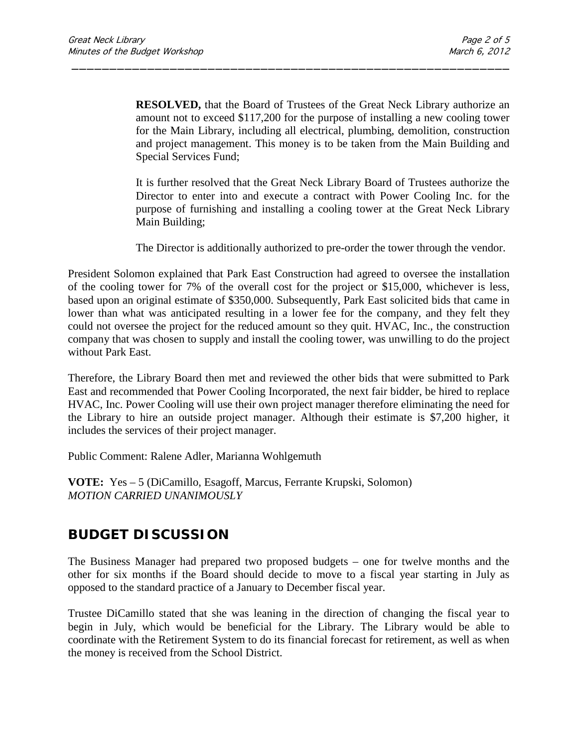**RESOLVED,** that the Board of Trustees of the Great Neck Library authorize an amount not to exceed \$117,200 for the purpose of installing a new cooling tower for the Main Library, including all electrical, plumbing, demolition, construction and project management. This money is to be taken from the Main Building and Special Services Fund;

\_\_\_\_\_\_\_\_\_\_\_\_\_\_\_\_\_\_\_\_\_\_\_\_\_\_\_\_\_\_\_\_\_\_\_\_\_\_\_\_\_\_\_\_\_\_\_\_\_\_\_\_\_\_\_\_\_\_

It is further resolved that the Great Neck Library Board of Trustees authorize the Director to enter into and execute a contract with Power Cooling Inc. for the purpose of furnishing and installing a cooling tower at the Great Neck Library Main Building;

The Director is additionally authorized to pre-order the tower through the vendor.

President Solomon explained that Park East Construction had agreed to oversee the installation of the cooling tower for 7% of the overall cost for the project or \$15,000, whichever is less, based upon an original estimate of \$350,000. Subsequently, Park East solicited bids that came in lower than what was anticipated resulting in a lower fee for the company, and they felt they could not oversee the project for the reduced amount so they quit. HVAC, Inc., the construction company that was chosen to supply and install the cooling tower, was unwilling to do the project without Park East.

Therefore, the Library Board then met and reviewed the other bids that were submitted to Park East and recommended that Power Cooling Incorporated, the next fair bidder, be hired to replace HVAC, Inc. Power Cooling will use their own project manager therefore eliminating the need for the Library to hire an outside project manager. Although their estimate is \$7,200 higher, it includes the services of their project manager.

Public Comment: Ralene Adler, Marianna Wohlgemuth

**VOTE:** Yes – 5 (DiCamillo, Esagoff, Marcus, Ferrante Krupski, Solomon) *MOTION CARRIED UNANIMOUSLY* 

# **BUDGET DISCUSSION**

The Business Manager had prepared two proposed budgets – one for twelve months and the other for six months if the Board should decide to move to a fiscal year starting in July as opposed to the standard practice of a January to December fiscal year.

Trustee DiCamillo stated that she was leaning in the direction of changing the fiscal year to begin in July, which would be beneficial for the Library. The Library would be able to coordinate with the Retirement System to do its financial forecast for retirement, as well as when the money is received from the School District.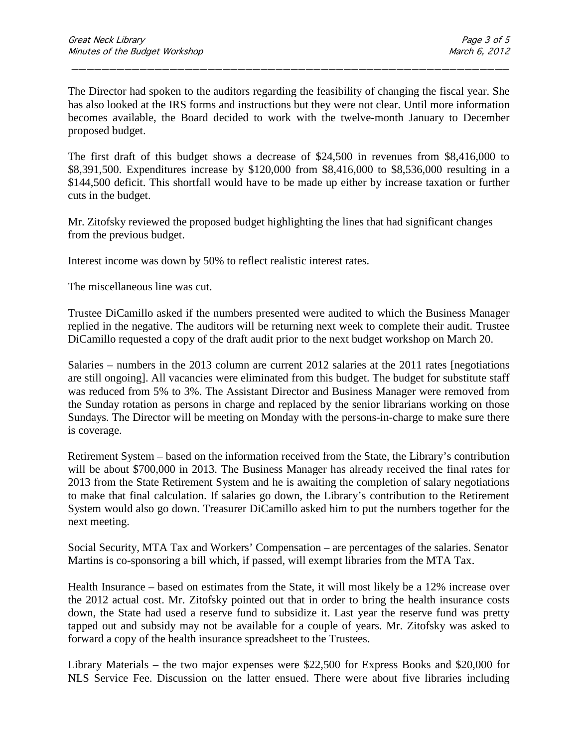The Director had spoken to the auditors regarding the feasibility of changing the fiscal year. She has also looked at the IRS forms and instructions but they were not clear. Until more information becomes available, the Board decided to work with the twelve-month January to December proposed budget.

\_\_\_\_\_\_\_\_\_\_\_\_\_\_\_\_\_\_\_\_\_\_\_\_\_\_\_\_\_\_\_\_\_\_\_\_\_\_\_\_\_\_\_\_\_\_\_\_\_\_\_\_\_\_\_\_\_\_

The first draft of this budget shows a decrease of \$24,500 in revenues from \$8,416,000 to \$8,391,500. Expenditures increase by \$120,000 from \$8,416,000 to \$8,536,000 resulting in a \$144,500 deficit. This shortfall would have to be made up either by increase taxation or further cuts in the budget.

Mr. Zitofsky reviewed the proposed budget highlighting the lines that had significant changes from the previous budget.

Interest income was down by 50% to reflect realistic interest rates.

The miscellaneous line was cut.

Trustee DiCamillo asked if the numbers presented were audited to which the Business Manager replied in the negative. The auditors will be returning next week to complete their audit. Trustee DiCamillo requested a copy of the draft audit prior to the next budget workshop on March 20.

Salaries – numbers in the 2013 column are current 2012 salaries at the 2011 rates [negotiations are still ongoing]. All vacancies were eliminated from this budget. The budget for substitute staff was reduced from 5% to 3%. The Assistant Director and Business Manager were removed from the Sunday rotation as persons in charge and replaced by the senior librarians working on those Sundays. The Director will be meeting on Monday with the persons-in-charge to make sure there is coverage.

Retirement System – based on the information received from the State, the Library's contribution will be about \$700,000 in 2013. The Business Manager has already received the final rates for 2013 from the State Retirement System and he is awaiting the completion of salary negotiations to make that final calculation. If salaries go down, the Library's contribution to the Retirement System would also go down. Treasurer DiCamillo asked him to put the numbers together for the next meeting.

Social Security, MTA Tax and Workers' Compensation – are percentages of the salaries. Senator Martins is co-sponsoring a bill which, if passed, will exempt libraries from the MTA Tax.

Health Insurance – based on estimates from the State, it will most likely be a 12% increase over the 2012 actual cost. Mr. Zitofsky pointed out that in order to bring the health insurance costs down, the State had used a reserve fund to subsidize it. Last year the reserve fund was pretty tapped out and subsidy may not be available for a couple of years. Mr. Zitofsky was asked to forward a copy of the health insurance spreadsheet to the Trustees.

Library Materials – the two major expenses were \$22,500 for Express Books and \$20,000 for NLS Service Fee. Discussion on the latter ensued. There were about five libraries including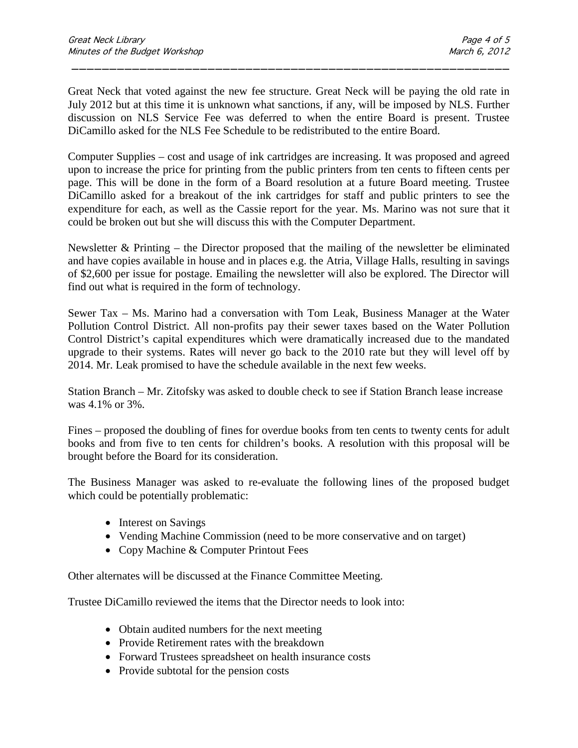Great Neck that voted against the new fee structure. Great Neck will be paying the old rate in July 2012 but at this time it is unknown what sanctions, if any, will be imposed by NLS. Further discussion on NLS Service Fee was deferred to when the entire Board is present. Trustee DiCamillo asked for the NLS Fee Schedule to be redistributed to the entire Board.

\_\_\_\_\_\_\_\_\_\_\_\_\_\_\_\_\_\_\_\_\_\_\_\_\_\_\_\_\_\_\_\_\_\_\_\_\_\_\_\_\_\_\_\_\_\_\_\_\_\_\_\_\_\_\_\_\_\_

Computer Supplies – cost and usage of ink cartridges are increasing. It was proposed and agreed upon to increase the price for printing from the public printers from ten cents to fifteen cents per page. This will be done in the form of a Board resolution at a future Board meeting. Trustee DiCamillo asked for a breakout of the ink cartridges for staff and public printers to see the expenditure for each, as well as the Cassie report for the year. Ms. Marino was not sure that it could be broken out but she will discuss this with the Computer Department.

Newsletter  $\&$  Printing – the Director proposed that the mailing of the newsletter be eliminated and have copies available in house and in places e.g. the Atria, Village Halls, resulting in savings of \$2,600 per issue for postage. Emailing the newsletter will also be explored. The Director will find out what is required in the form of technology.

Sewer Tax – Ms. Marino had a conversation with Tom Leak, Business Manager at the Water Pollution Control District. All non-profits pay their sewer taxes based on the Water Pollution Control District's capital expenditures which were dramatically increased due to the mandated upgrade to their systems. Rates will never go back to the 2010 rate but they will level off by 2014. Mr. Leak promised to have the schedule available in the next few weeks.

Station Branch – Mr. Zitofsky was asked to double check to see if Station Branch lease increase was 4.1% or 3%.

Fines – proposed the doubling of fines for overdue books from ten cents to twenty cents for adult books and from five to ten cents for children's books. A resolution with this proposal will be brought before the Board for its consideration.

The Business Manager was asked to re-evaluate the following lines of the proposed budget which could be potentially problematic:

- Interest on Savings
- Vending Machine Commission (need to be more conservative and on target)
- Copy Machine & Computer Printout Fees

Other alternates will be discussed at the Finance Committee Meeting.

Trustee DiCamillo reviewed the items that the Director needs to look into:

- Obtain audited numbers for the next meeting
- Provide Retirement rates with the breakdown
- Forward Trustees spreadsheet on health insurance costs
- Provide subtotal for the pension costs